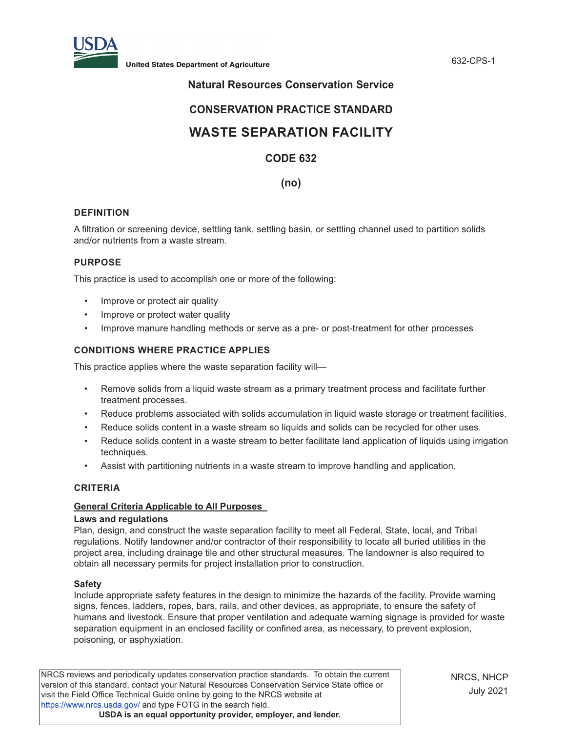

**United States Department of Agriculture** 632-CPS-1

# **Natural Resources Conservation Service**

# **CONSERVATION PRACTICE STANDARD**

# **WASTE SEPARATION FACILITY**

# **CODE 632**

**(no)**

# **DEFINITION**

A filtration or screening device, settling tank, settling basin, or settling channel used to partition solids and/or nutrients from a waste stream.

# **PURPOSE**

This practice is used to accomplish one or more of the following:

- Improve or protect air quality
- Improve or protect water quality
- Improve manure handling methods or serve as a pre- or post-treatment for other processes

# **CONDITIONS WHERE PRACTICE APPLIES**

This practice applies where the waste separation facility will—

- Remove solids from a liquid waste stream as a primary treatment process and facilitate further treatment processes.
- Reduce problems associated with solids accumulation in liquid waste storage or treatment facilities.
- Reduce solids content in a waste stream so liquids and solids can be recycled for other uses.
- Reduce solids content in a waste stream to better facilitate land application of liquids using irrigation techniques.
- Assist with partitioning nutrients in a waste stream to improve handling and application.

#### **CRITERIA**

# **General Criteria Applicable to All Purposes**

#### **Laws and regulations**

Plan, design, and construct the waste separation facility to meet all Federal, State, local, and Tribal regulations. Notify landowner and/or contractor of their responsibility to locate all buried utilities in the project area, including drainage tile and other structural measures. The landowner is also required to obtain all necessary permits for project installation prior to construction.

#### **Safety**

Include appropriate safety features in the design to minimize the hazards of the facility. Provide warning signs, fences, ladders, ropes, bars, rails, and other devices, as appropriate, to ensure the safety of humans and livestock. Ensure that proper ventilation and adequate warning signage is provided for waste separation equipment in an enclosed facility or confined area, as necessary, to prevent explosion, poisoning, or asphyxiation.

NRCS reviews and periodically updates conservation practice standards. To obtain the current version of this standard, contact your Natural Resources Conservation Service State office or visit the Field Office Technical Guide online by going to the NRCS website at <https://www.nrcs.usda.gov/>and type FOTG in the search field. **USDA is an equal opportunity provider, employer, and lender.**

NRCS, NHCP July 2021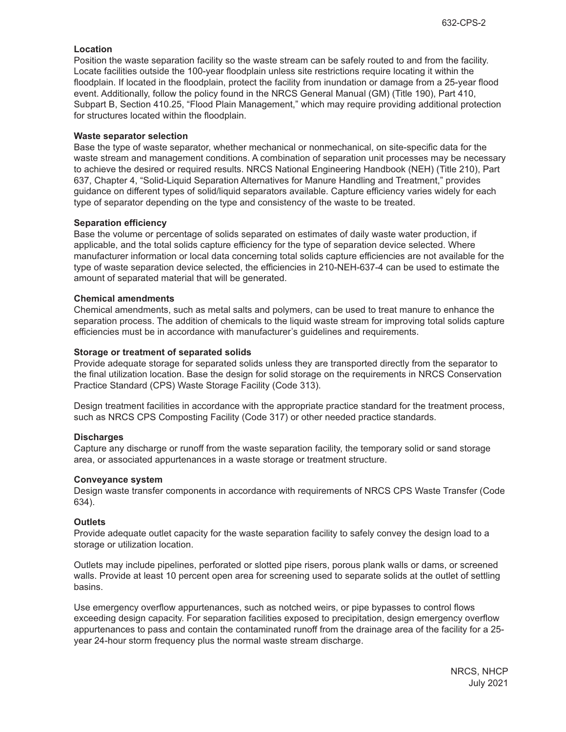# **Location**

Position the waste separation facility so the waste stream can be safely routed to and from the facility. Locate facilities outside the 100-year floodplain unless site restrictions require locating it within the floodplain. If located in the floodplain, protect the facility from inundation or damage from a 25-year flood event. Additionally, follow the policy found in the NRCS General Manual (GM) (Title 190), Part 410, Subpart B, Section 410.25, "Flood Plain Management," which may require providing additional protection for structures located within the floodplain.

#### **Waste separator selection**

Base the type of waste separator, whether mechanical or nonmechanical, on site-specific data for the waste stream and management conditions. A combination of separation unit processes may be necessary to achieve the desired or required results. NRCS National Engineering Handbook (NEH) (Title 210), Part 637, Chapter 4, "Solid-Liquid Separation Alternatives for Manure Handling and Treatment," provides guidance on different types of solid/liquid separators available. Capture efficiency varies widely for each type of separator depending on the type and consistency of the waste to be treated.

# **Separation efficiency**

Base the volume or percentage of solids separated on estimates of daily waste water production, if applicable, and the total solids capture efficiency for the type of separation device selected. Where manufacturer information or local data concerning total solids capture efficiencies are not available for the type of waste separation device selected, the efficiencies in 210-NEH-637-4 can be used to estimate the amount of separated material that will be generated.

# **Chemical amendments**

Chemical amendments, such as metal salts and polymers, can be used to treat manure to enhance the separation process. The addition of chemicals to the liquid waste stream for improving total solids capture efficiencies must be in accordance with manufacturer's guidelines and requirements.

# **Storage or treatment of separated solids**

Provide adequate storage for separated solids unless they are transported directly from the separator to the final utilization location. Base the design for solid storage on the requirements in NRCS Conservation Practice Standard (CPS) Waste Storage Facility (Code 313).

Design treatment facilities in accordance with the appropriate practice standard for the treatment process, such as NRCS CPS Composting Facility (Code 317) or other needed practice standards.

# **Discharges**

Capture any discharge or runoff from the waste separation facility, the temporary solid or sand storage area, or associated appurtenances in a waste storage or treatment structure.

#### **Conveyance system**

Design waste transfer components in accordance with requirements of NRCS CPS Waste Transfer (Code 634).

#### **Outlets**

Provide adequate outlet capacity for the waste separation facility to safely convey the design load to a storage or utilization location.

Outlets may include pipelines, perforated or slotted pipe risers, porous plank walls or dams, or screened walls. Provide at least 10 percent open area for screening used to separate solids at the outlet of settling basins.

Use emergency overflow appurtenances, such as notched weirs, or pipe bypasses to control flows exceeding design capacity. For separation facilities exposed to precipitation, design emergency overflow appurtenances to pass and contain the contaminated runoff from the drainage area of the facility for a 25 year 24-hour storm frequency plus the normal waste stream discharge.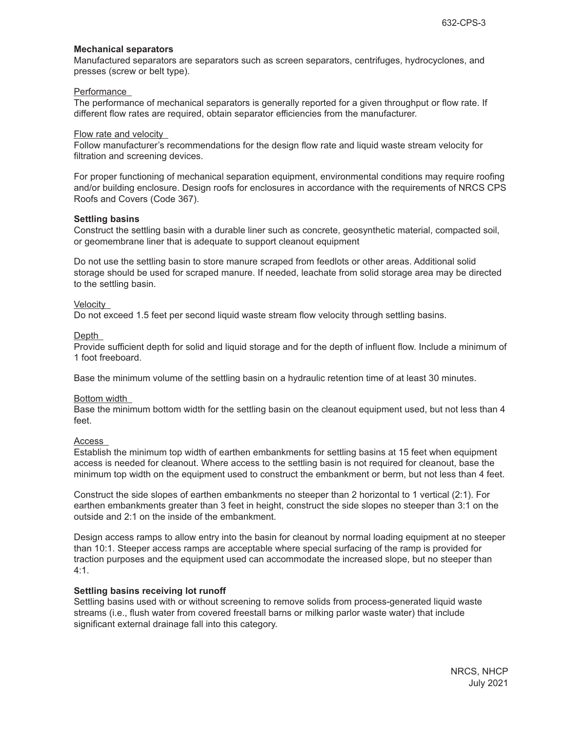### **Mechanical separators**

Manufactured separators are separators such as screen separators, centrifuges, hydrocyclones, and presses (screw or belt type).

#### Performance

The performance of mechanical separators is generally reported for a given throughput or flow rate. If different flow rates are required, obtain separator efficiencies from the manufacturer.

#### Flow rate and velocity

Follow manufacturer's recommendations for the design flow rate and liquid waste stream velocity for filtration and screening devices.

For proper functioning of mechanical separation equipment, environmental conditions may require roofing and/or building enclosure. Design roofs for enclosures in accordance with the requirements of NRCS CPS Roofs and Covers (Code 367).

# **Settling basins**

Construct the settling basin with a durable liner such as concrete, geosynthetic material, compacted soil, or geomembrane liner that is adequate to support cleanout equipment

Do not use the settling basin to store manure scraped from feedlots or other areas. Additional solid storage should be used for scraped manure. If needed, leachate from solid storage area may be directed to the settling basin.

# **Velocity**

Do not exceed 1.5 feet per second liquid waste stream flow velocity through settling basins.

#### Depth

Provide sufficient depth for solid and liquid storage and for the depth of influent flow. Include a minimum of 1 foot freeboard.

Base the minimum volume of the settling basin on a hydraulic retention time of at least 30 minutes.

#### Bottom width

Base the minimum bottom width for the settling basin on the cleanout equipment used, but not less than 4 feet.

#### Access

Establish the minimum top width of earthen embankments for settling basins at 15 feet when equipment access is needed for cleanout. Where access to the settling basin is not required for cleanout, base the minimum top width on the equipment used to construct the embankment or berm, but not less than 4 feet.

Construct the side slopes of earthen embankments no steeper than 2 horizontal to 1 vertical (2:1). For earthen embankments greater than 3 feet in height, construct the side slopes no steeper than 3:1 on the outside and 2:1 on the inside of the embankment.

Design access ramps to allow entry into the basin for cleanout by normal loading equipment at no steeper than 10:1. Steeper access ramps are acceptable where special surfacing of the ramp is provided for traction purposes and the equipment used can accommodate the increased slope, but no steeper than 4:1.

#### **Settling basins receiving lot runoff**

Settling basins used with or without screening to remove solids from process-generated liquid waste streams (i.e., flush water from covered freestall barns or milking parlor waste water) that include significant external drainage fall into this category.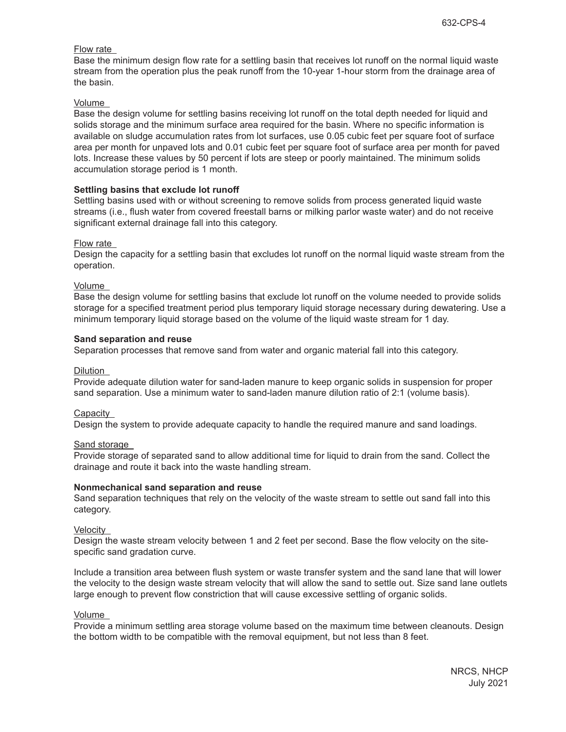# Flow rate

Base the minimum design flow rate for a settling basin that receives lot runoff on the normal liquid waste stream from the operation plus the peak runoff from the 10-year 1-hour storm from the drainage area of the basin.

#### Volume

Base the design volume for settling basins receiving lot runoff on the total depth needed for liquid and solids storage and the minimum surface area required for the basin. Where no specific information is available on sludge accumulation rates from lot surfaces, use 0.05 cubic feet per square foot of surface area per month for unpaved lots and 0.01 cubic feet per square foot of surface area per month for paved lots. Increase these values by 50 percent if lots are steep or poorly maintained. The minimum solids accumulation storage period is 1 month.

# **Settling basins that exclude lot runoff**

Settling basins used with or without screening to remove solids from process generated liquid waste streams (i.e., flush water from covered freestall barns or milking parlor waste water) and do not receive significant external drainage fall into this category.

#### Flow rate

Design the capacity for a settling basin that excludes lot runoff on the normal liquid waste stream from the operation.

#### Volume

Base the design volume for settling basins that exclude lot runoff on the volume needed to provide solids storage for a specified treatment period plus temporary liquid storage necessary during dewatering. Use a minimum temporary liquid storage based on the volume of the liquid waste stream for 1 day.

#### **Sand separation and reuse**

Separation processes that remove sand from water and organic material fall into this category.

### Dilution

Provide adequate dilution water for sand-laden manure to keep organic solids in suspension for proper sand separation. Use a minimum water to sand-laden manure dilution ratio of 2:1 (volume basis).

#### Capacity

Design the system to provide adequate capacity to handle the required manure and sand loadings.

#### Sand storage

Provide storage of separated sand to allow additional time for liquid to drain from the sand. Collect the drainage and route it back into the waste handling stream.

#### **Nonmechanical sand separation and reuse**

Sand separation techniques that rely on the velocity of the waste stream to settle out sand fall into this category.

#### **Velocity**

Design the waste stream velocity between 1 and 2 feet per second. Base the flow velocity on the sitespecific sand gradation curve.

Include a transition area between flush system or waste transfer system and the sand lane that will lower the velocity to the design waste stream velocity that will allow the sand to settle out. Size sand lane outlets large enough to prevent flow constriction that will cause excessive settling of organic solids.

#### Volume

Provide a minimum settling area storage volume based on the maximum time between cleanouts. Design the bottom width to be compatible with the removal equipment, but not less than 8 feet.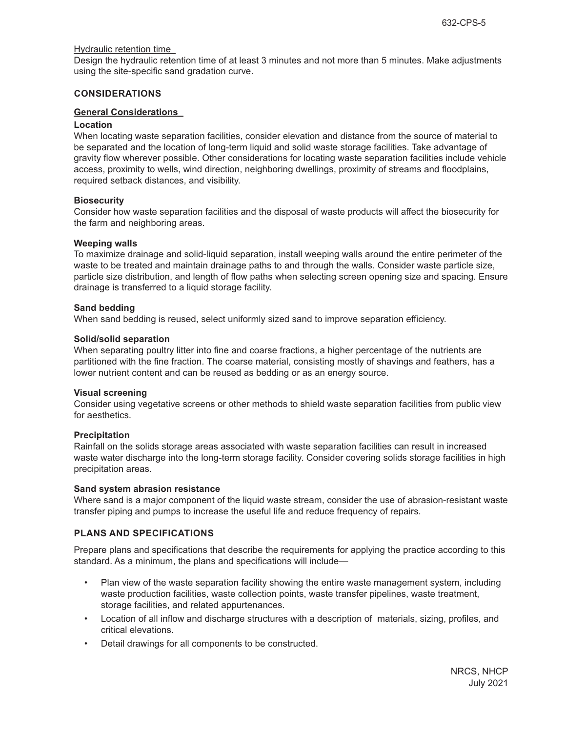# Hydraulic retention time

Design the hydraulic retention time of at least 3 minutes and not more than 5 minutes. Make adjustments using the site-specific sand gradation curve.

# **CONSIDERATIONS**

### **General Considerations**

### **Location**

When locating waste separation facilities, consider elevation and distance from the source of material to be separated and the location of long-term liquid and solid waste storage facilities. Take advantage of gravity flow wherever possible. Other considerations for locating waste separation facilities include vehicle access, proximity to wells, wind direction, neighboring dwellings, proximity of streams and floodplains, required setback distances, and visibility.

# **Biosecurity**

Consider how waste separation facilities and the disposal of waste products will affect the biosecurity for the farm and neighboring areas.

# **Weeping walls**

To maximize drainage and solid-liquid separation, install weeping walls around the entire perimeter of the waste to be treated and maintain drainage paths to and through the walls. Consider waste particle size, particle size distribution, and length of flow paths when selecting screen opening size and spacing. Ensure drainage is transferred to a liquid storage facility.

# **Sand bedding**

When sand bedding is reused, select uniformly sized sand to improve separation efficiency.

#### **Solid/solid separation**

When separating poultry litter into fine and coarse fractions, a higher percentage of the nutrients are partitioned with the fine fraction. The coarse material, consisting mostly of shavings and feathers, has a lower nutrient content and can be reused as bedding or as an energy source.

#### **Visual screening**

Consider using vegetative screens or other methods to shield waste separation facilities from public view for aesthetics.

# **Precipitation**

Rainfall on the solids storage areas associated with waste separation facilities can result in increased waste water discharge into the long-term storage facility. Consider covering solids storage facilities in high precipitation areas.

#### **Sand system abrasion resistance**

Where sand is a major component of the liquid waste stream, consider the use of abrasion-resistant waste transfer piping and pumps to increase the useful life and reduce frequency of repairs.

# **PLANS AND SPECIFICATIONS**

Prepare plans and specifications that describe the requirements for applying the practice according to this standard. As a minimum, the plans and specifications will include—

- Plan view of the waste separation facility showing the entire waste management system, including waste production facilities, waste collection points, waste transfer pipelines, waste treatment, storage facilities, and related appurtenances.
- Location of all inflow and discharge structures with a description of materials, sizing, profiles, and critical elevations.
- Detail drawings for all components to be constructed.